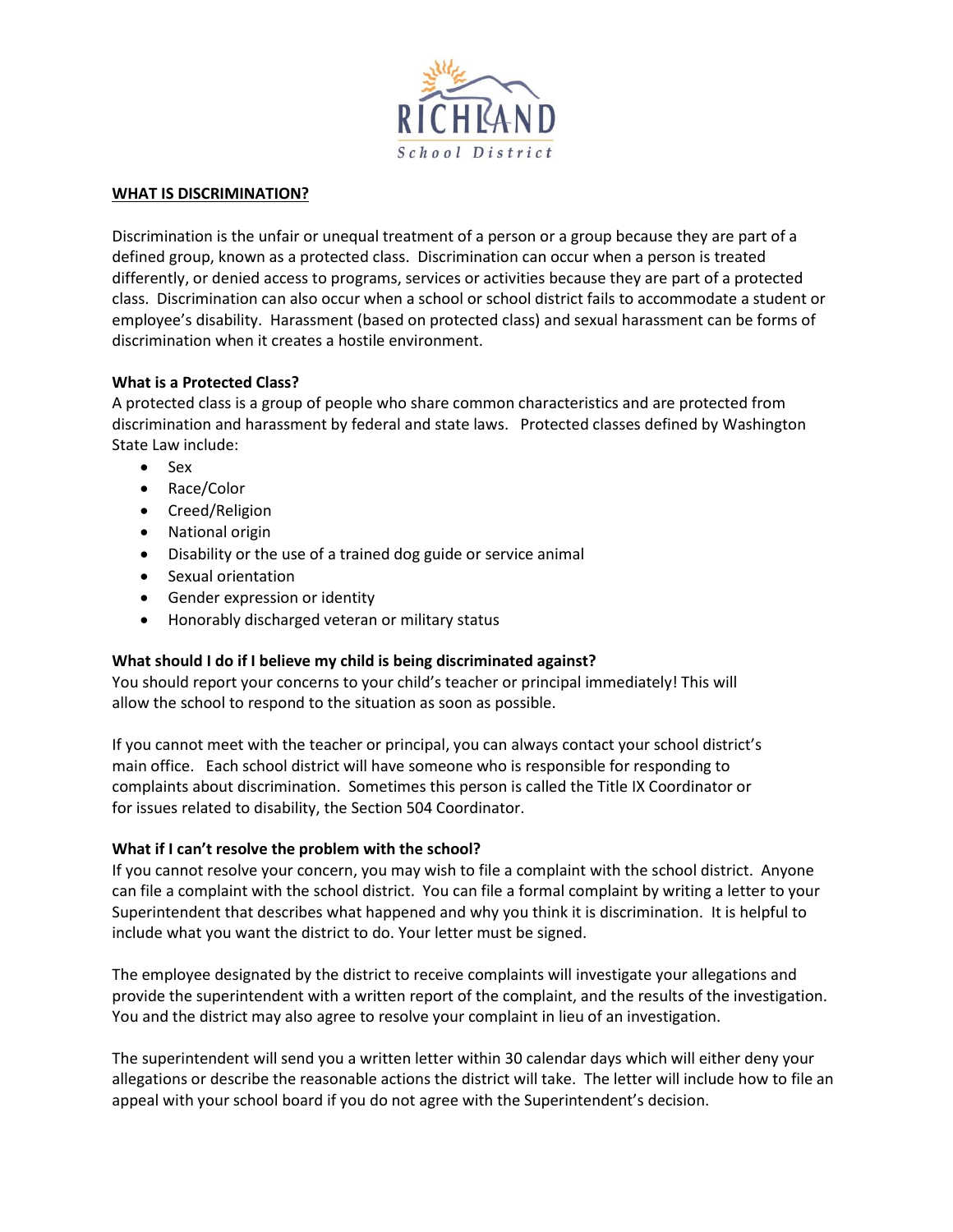

## **WHAT IS DISCRIMINATION?**

Discrimination is the unfair or unequal treatment of a person or a group because they are part of a defined group, known as a protected class. Discrimination can occur when a person is treated differently, or denied access to programs, services or activities because they are part of a protected class. Discrimination can also occur when a school or school district fails to accommodate a student or employee's disability. Harassment (based on protected class) and sexual harassment can be forms of discrimination when it creates a hostile environment.

# **What is a Protected Class?**

A protected class is a group of people who share common characteristics and are protected from discrimination and harassment by federal and state laws. Protected classes defined by Washington State Law include:

- Sex
- Race/Color
- Creed/Religion
- National origin
- Disability or the use of a trained dog guide or service animal
- Sexual orientation
- **•** Gender expression or identity
- Honorably discharged veteran or military status

# **What should I do if I believe my child is being discriminated against?**

You should report your concerns to your child's teacher or principal immediately! This will allow the school to respond to the situation as soon as possible.

If you cannot meet with the teacher or principal, you can always contact your school district's main office. Each school district will have someone who is responsible for responding to complaints about discrimination. Sometimes this person is called the Title IX Coordinator or for issues related to disability, the Section 504 Coordinator.

# **What if I can't resolve the problem with the school?**

If you cannot resolve your concern, you may wish to file a complaint with the school district. Anyone can file a complaint with the school district. You can file a formal complaint by writing a letter to your Superintendent that describes what happened and why you think it is discrimination. It is helpful to include what you want the district to do. Your letter must be signed.

The employee designated by the district to receive complaints will investigate your allegations and provide the superintendent with a written report of the complaint, and the results of the investigation. You and the district may also agree to resolve your complaint in lieu of an investigation.

The superintendent will send you a written letter within 30 calendar days which will either deny your allegations or describe the reasonable actions the district will take. The letter will include how to file an appeal with your school board if you do not agree with the Superintendent's decision.